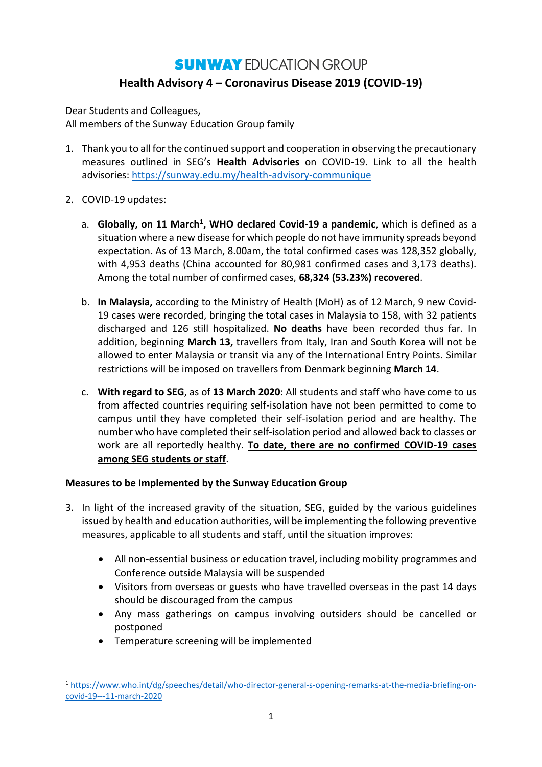## **SUNWAY EDUCATION GROUP Health Advisory 4 – Coronavirus Disease 2019 (COVID-19)**

Dear Students and Colleagues, All members of the Sunway Education Group family

- 1. Thank you to all for the continued support and cooperation in observing the precautionary measures outlined in SEG's **Health Advisories** on COVID-19. Link to all the health advisories:<https://sunway.edu.my/health-advisory-communique>
- 2. COVID-19 updates:

1

- a. **Globally, on 11 March<sup>1</sup> , WHO declared Covid-19 a pandemic**, which is defined as a situation where a new disease for which people do not have immunity spreads beyond expectation. As of 13 March, 8.00am, the total confirmed cases was 128,352 globally, with 4,953 deaths (China accounted for 80,981 confirmed cases and 3,173 deaths). Among the total number of confirmed cases, **68,324 (53.23%) recovered**.
- b. **In Malaysia,** according to the Ministry of Health (MoH) as of 12 March, 9 new Covid-19 cases were recorded, bringing the total cases in Malaysia to 158, with 32 patients discharged and 126 still hospitalized. **No deaths** have been recorded thus far. In addition, beginning **March 13,** travellers from Italy, Iran and South Korea will not be allowed to enter Malaysia or transit via any of the International Entry Points. Similar restrictions will be imposed on travellers from Denmark beginning **March 14**.
- c. **With regard to SEG**, as of **13 March 2020**: All students and staff who have come to us from affected countries requiring self-isolation have not been permitted to come to campus until they have completed their self-isolation period and are healthy. The number who have completed their self-isolation period and allowed back to classes or work are all reportedly healthy. **To date, there are no confirmed COVID-19 cases among SEG students or staff**.

## **Measures to be Implemented by the Sunway Education Group**

- 3. In light of the increased gravity of the situation, SEG, guided by the various guidelines issued by health and education authorities, will be implementing the following preventive measures, applicable to all students and staff, until the situation improves:
	- All non-essential business or education travel, including mobility programmes and Conference outside Malaysia will be suspended
	- Visitors from overseas or guests who have travelled overseas in the past 14 days should be discouraged from the campus
	- Any mass gatherings on campus involving outsiders should be cancelled or postponed
	- Temperature screening will be implemented

<sup>1</sup> [https://www.who.int/dg/speeches/detail/who-director-general-s-opening-remarks-at-the-media-briefing-on](https://www.who.int/dg/speeches/detail/who-director-general-s-opening-remarks-at-the-media-briefing-on-covid-19---11-march-2020)[covid-19---11-march-2020](https://www.who.int/dg/speeches/detail/who-director-general-s-opening-remarks-at-the-media-briefing-on-covid-19---11-march-2020)